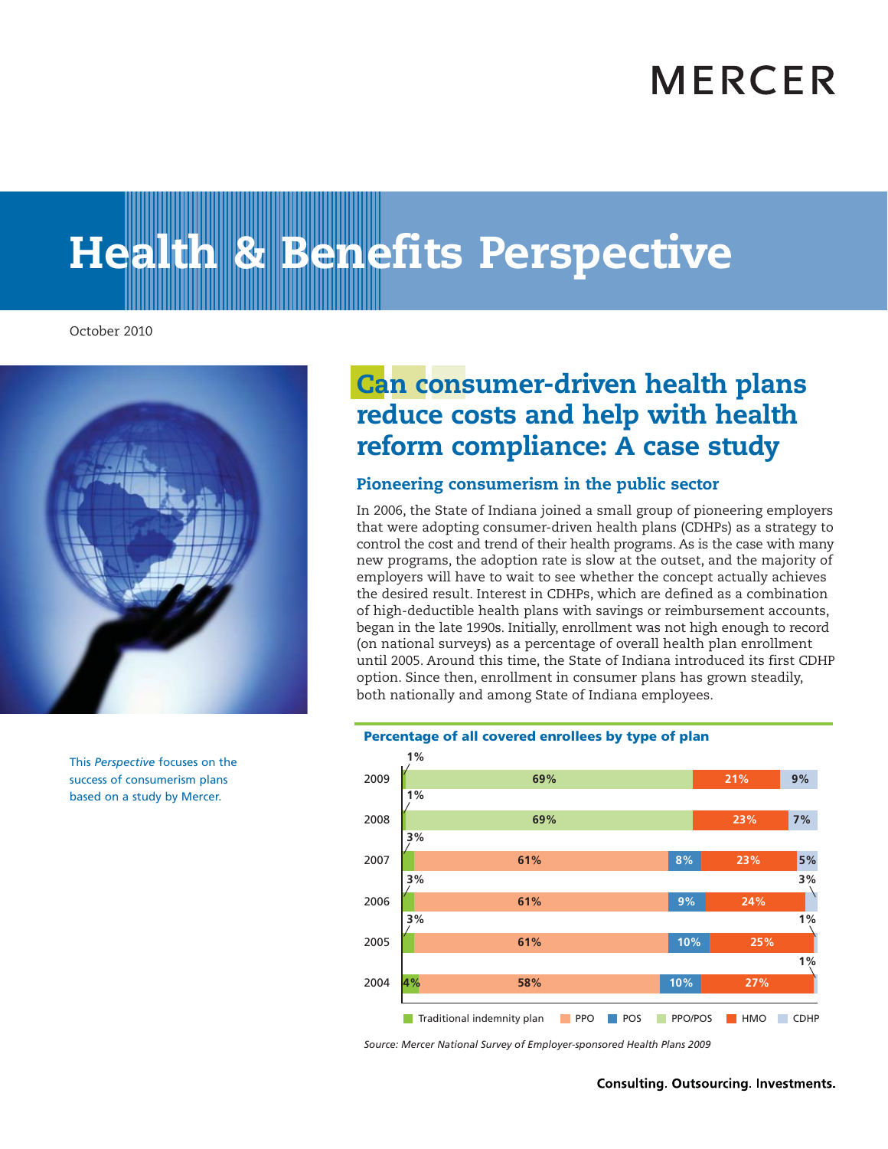## **MERCER**

# **Health & Benefits Perspective**

October 2010



This *Perspective* focuses on the success of consumerism plans based on a study by Mercer.

### **Can consumer-driven health plans reduce costs and help with health reform compliance: A case study**

#### **Pioneering consumerism in the public sector**

In 2006, the State of Indiana joined a small group of pioneering employers that were adopting consumer-driven health plans (CDHPs) as a strategy to control the cost and trend of their health programs. As is the case with many new programs, the adoption rate is slow at the outset, and the majority of employers will have to wait to see whether the concept actually achieves the desired result. Interest in CDHPs, which are defined as a combination of high-deductible health plans with savings or reimbursement accounts, began in the late 1990s. Initially, enrollment was not high enough to record (on national surveys) as a percentage of overall health plan enrollment until 2005. Around this time, the State of Indiana introduced its first CDHP option. Since then, enrollment in consumer plans has grown steadily, both nationally and among State of Indiana employees.



**Percentage of all covered enrollees by type of plan**

*Source: Mercer National Survey of Employer-sponsored Health Plans 2009*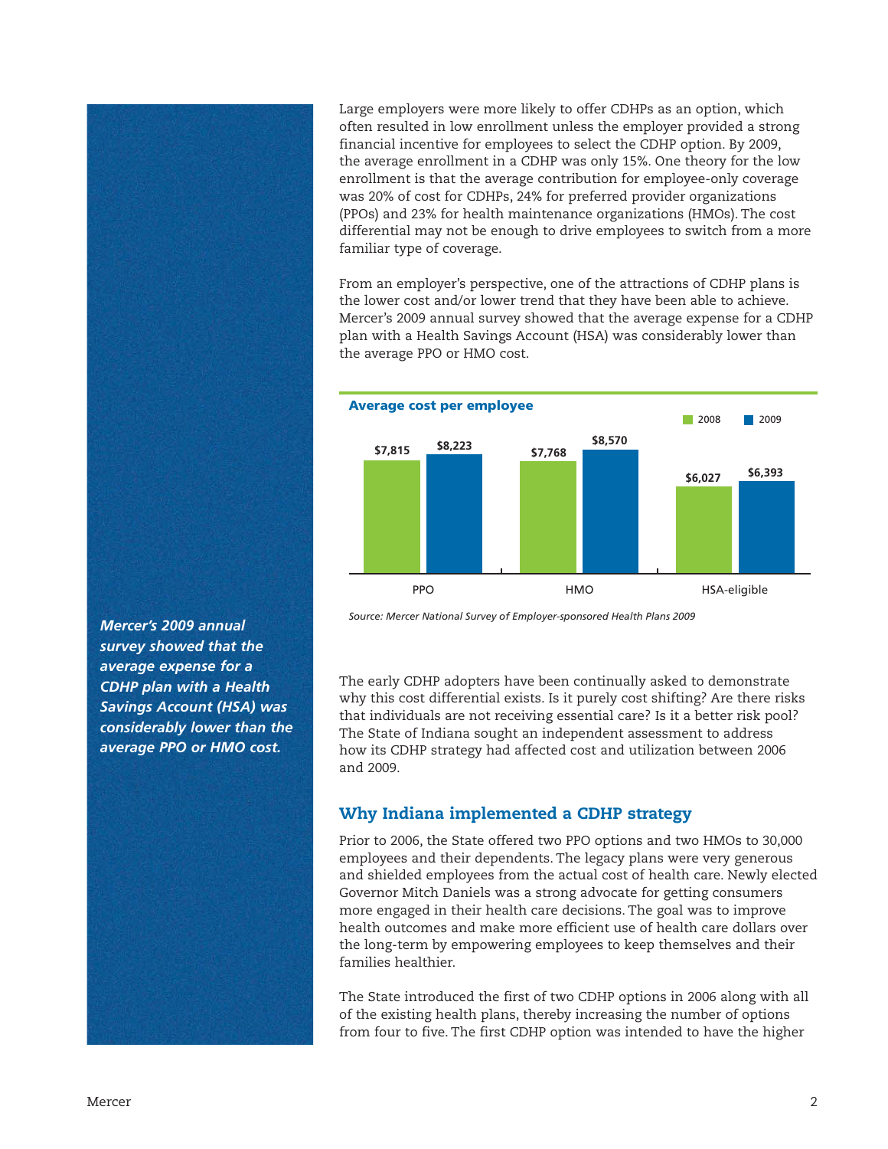Large employers were more likely to offer CDHPs as an option, which often resulted in low enrollment unless the employer provided a strong financial incentive for employees to select the CDHP option. By 2009, the average enrollment in a CDHP was only 15%. One theory for the low enrollment is that the average contribution for employee-only coverage was 20% of cost for CDHPs, 24% for preferred provider organizations (PPOs) and 23% for health maintenance organizations (HMOs). The cost differential may not be enough to drive employees to switch from a more familiar type of coverage.

From an employer's perspective, one of the attractions of CDHP plans is the lower cost and/or lower trend that they have been able to achieve. Mercer's 2009 annual survey showed that the average expense for a CDHP plan with a Health Savings Account (HSA) was considerably lower than the average PPO or HMO cost.



*Mercer's 2009 annual survey showed that the average expense for a CDHP plan with a Health Savings Account (HSA) was considerably lower than the average PPO or HMO cost.* 

*Source: Mercer National Survey of Employer-sponsored Health Plans 2009*

The early CDHP adopters have been continually asked to demonstrate why this cost differential exists. Is it purely cost shifting? Are there risks that individuals are not receiving essential care? Is it a better risk pool? The State of Indiana sought an independent assessment to address how its CDHP strategy had affected cost and utilization between 2006 and 2009.

#### **Why Indiana implemented a CDHP strategy**

Prior to 2006, the State offered two PPO options and two HMOs to 30,000 employees and their dependents. The legacy plans were very generous and shielded employees from the actual cost of health care. Newly elected Governor Mitch Daniels was a strong advocate for getting consumers more engaged in their health care decisions. The goal was to improve health outcomes and make more efficient use of health care dollars over the long-term by empowering employees to keep themselves and their families healthier.

The State introduced the first of two CDHP options in 2006 along with all of the existing health plans, thereby increasing the number of options from four to five. The first CDHP option was intended to have the higher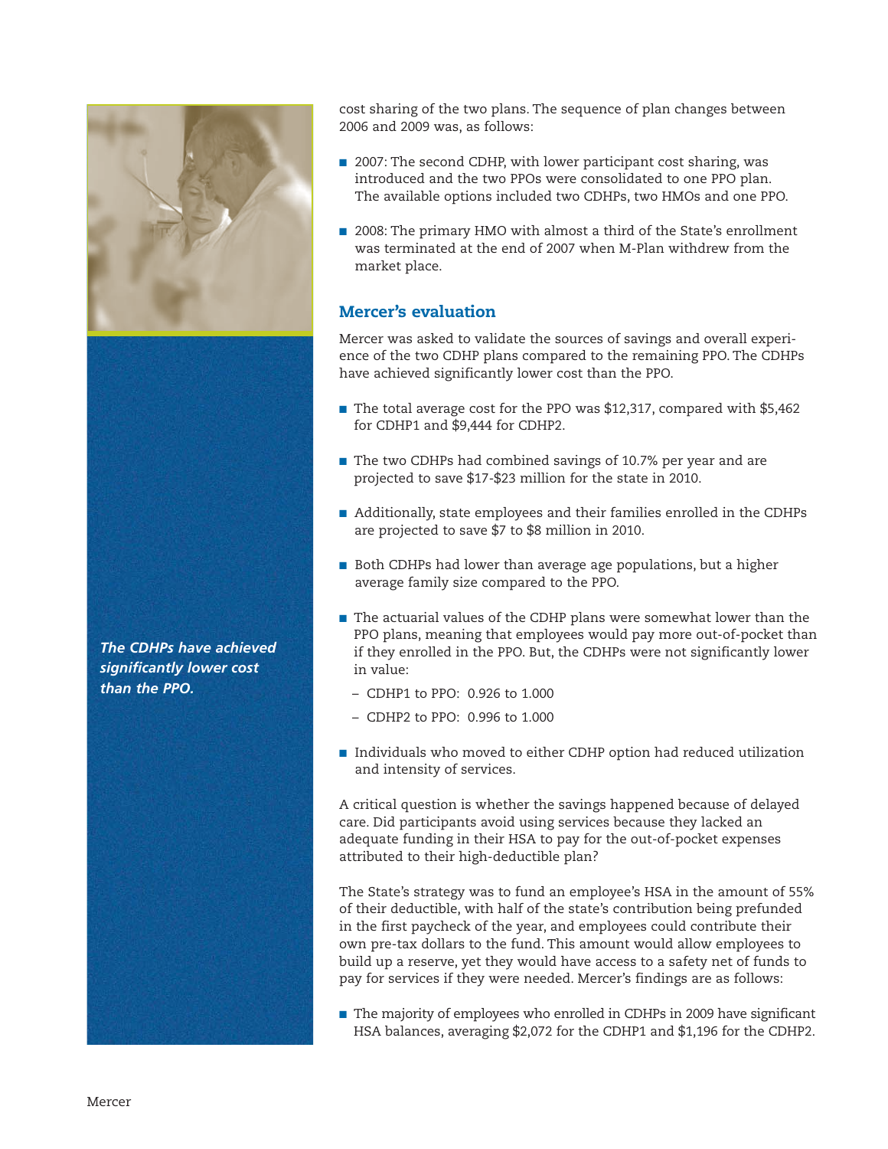

cost sharing of the two plans. The sequence of plan changes between 2006 and 2009 was, as follows:

- 2007: The second CDHP, with lower participant cost sharing, was introduced and the two PPOs were consolidated to one PPO plan. The available options included two CDHPs, two HMOs and one PPO.
- 2008: The primary HMO with almost a third of the State's enrollment was terminated at the end of 2007 when M-Plan withdrew from the market place.

#### **Mercer's evaluation**

Mercer was asked to validate the sources of savings and overall experience of the two CDHP plans compared to the remaining PPO. The CDHPs have achieved significantly lower cost than the PPO.

- The total average cost for the PPO was \$12,317, compared with \$5,462 for CDHP1 and \$9,444 for CDHP2.
- The two CDHPs had combined savings of 10.7% per year and are projected to save \$17-\$23 million for the state in 2010.
- Additionally, state employees and their families enrolled in the CDHPs are projected to save \$7 to \$8 million in 2010.
- Both CDHPs had lower than average age populations, but a higher average family size compared to the PPO.
- The actuarial values of the CDHP plans were somewhat lower than the PPO plans, meaning that employees would pay more out-of-pocket than if they enrolled in the PPO. But, the CDHPs were not significantly lower in value:
	- CDHP1 to PPO: 0.926 to 1.000
	- CDHP2 to PPO: 0.996 to 1.000
- Individuals who moved to either CDHP option had reduced utilization and intensity of services.

A critical question is whether the savings happened because of delayed care. Did participants avoid using services because they lacked an adequate funding in their HSA to pay for the out-of-pocket expenses attributed to their high-deductible plan?

The State's strategy was to fund an employee's HSA in the amount of 55% of their deductible, with half of the state's contribution being prefunded in the first paycheck of the year, and employees could contribute their own pre-tax dollars to the fund. This amount would allow employees to build up a reserve, yet they would have access to a safety net of funds to pay for services if they were needed. Mercer's findings are as follows:

■ The majority of employees who enrolled in CDHPs in 2009 have significant HSA balances, averaging \$2,072 for the CDHP1 and \$1,196 for the CDHP2.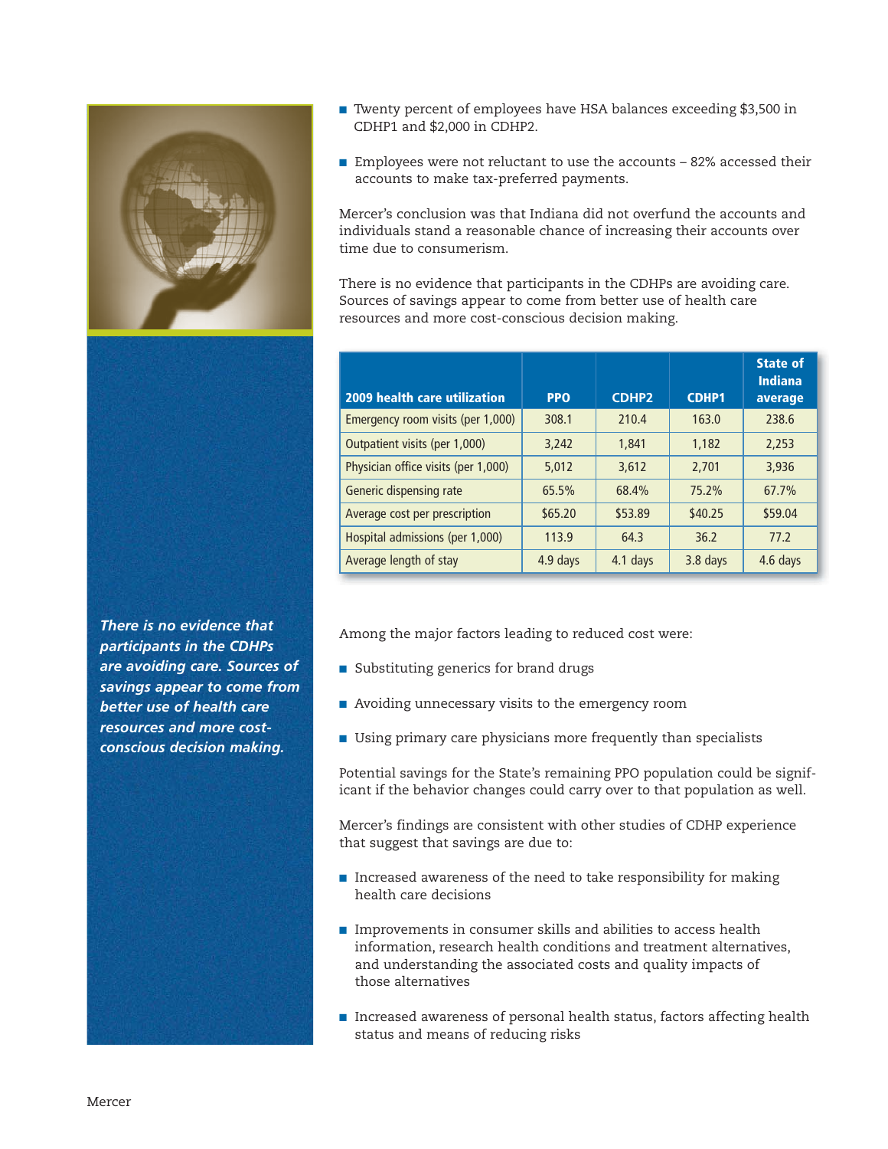

- Twenty percent of employees have HSA balances exceeding \$3,500 in CDHP1 and \$2,000 in CDHP2.
- Employees were not reluctant to use the accounts 82% accessed their accounts to make tax-preferred payments.

Mercer's conclusion was that Indiana did not overfund the accounts and individuals stand a reasonable chance of increasing their accounts over time due to consumerism.

There is no evidence that participants in the CDHPs are avoiding care. Sources of savings appear to come from better use of health care resources and more cost-conscious decision making.

|                                     |            |              |              | <b>State of</b><br><b>Indiana</b> |
|-------------------------------------|------------|--------------|--------------|-----------------------------------|
| 2009 health care utilization        | <b>PPO</b> | <b>CDHP2</b> | <b>CDHP1</b> | average                           |
| Emergency room visits (per 1,000)   | 308.1      | 210.4        | 163.0        | 238.6                             |
| Outpatient visits (per 1,000)       | 3,242      | 1,841        | 1.182        | 2,253                             |
| Physician office visits (per 1,000) | 5,012      | 3,612        | 2.701        | 3,936                             |
| Generic dispensing rate             | 65.5%      | 68.4%        | 75.2%        | 67.7%                             |
| Average cost per prescription       | \$65.20    | \$53.89      | \$40.25      | \$59.04                           |
| Hospital admissions (per 1,000)     | 113.9      | 64.3         | 36.2         | 77.2                              |
| Average length of stay              | 4.9 days   | 4.1 days     | 3.8 days     | 4.6 days                          |

Among the major factors leading to reduced cost were:

- Substituting generics for brand drugs
- Avoiding unnecessary visits to the emergency room
- Using primary care physicians more frequently than specialists

Potential savings for the State's remaining PPO population could be significant if the behavior changes could carry over to that population as well.

Mercer's findings are consistent with other studies of CDHP experience that suggest that savings are due to:

- Increased awareness of the need to take responsibility for making health care decisions
- Improvements in consumer skills and abilities to access health information, research health conditions and treatment alternatives, and understanding the associated costs and quality impacts of those alternatives
- Increased awareness of personal health status, factors affecting health status and means of reducing risks